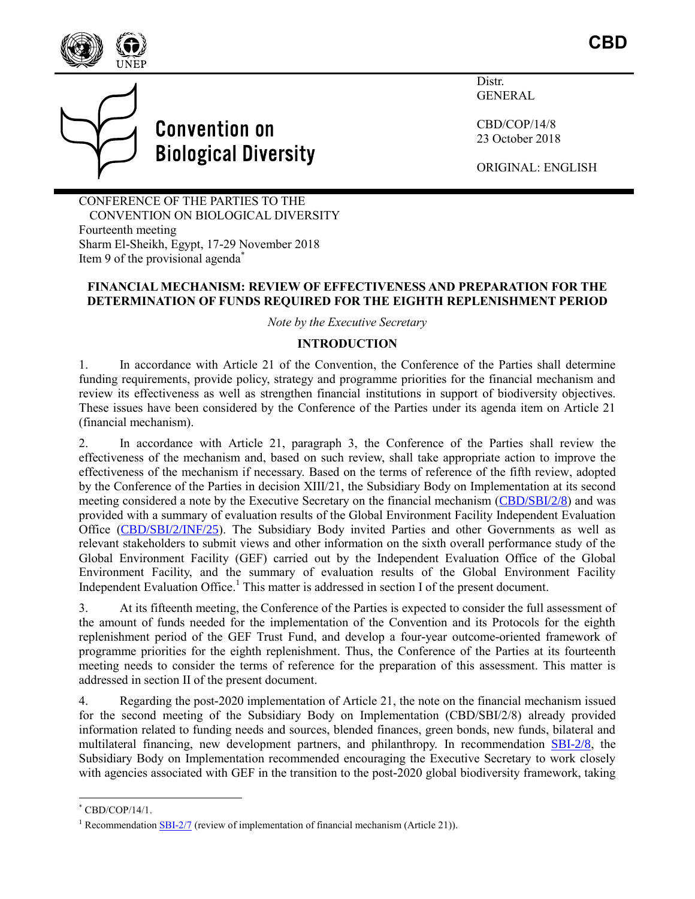



Distr. **GENERAL** 

CBD/COP/14/8 23 October 2018

ORIGINAL: ENGLISH

CONFERENCE OF THE PARTIES TO THE CONVENTION ON BIOLOGICAL DIVERSITY Fourteenth meeting Sharm El-Sheikh, Egypt, 17-29 November 2018 Item 9 of the provisional agenda<sup>\*</sup>

### **FINANCIAL MECHANISM: REVIEW OF EFFECTIVENESS AND PREPARATION FOR THE DETERMINATION OF FUNDS REQUIRED FOR THE EIGHTH REPLENISHMENT PERIOD**

*Note by the Executive Secretary*

### **INTRODUCTION**

1. In accordance with Article 21 of the Convention, the Conference of the Parties shall determine funding requirements, provide policy, strategy and programme priorities for the financial mechanism and review its effectiveness as well as strengthen financial institutions in support of biodiversity objectives. These issues have been considered by the Conference of the Parties under its agenda item on Article 21 (financial mechanism).

2. In accordance with Article 21, paragraph 3, the Conference of the Parties shall review the effectiveness of the mechanism and, based on such review, shall take appropriate action to improve the effectiveness of the mechanism if necessary. Based on the terms of reference of the fifth review, adopted by the Conference of the Parties in decision XIII/21, the Subsidiary Body on Implementation at its second meeting considered a note by the Executive Secretary on the financial mechanism [\(CBD/SBI/2/8\)](https://www.cbd.int/doc/c/c37e/f103/ea6eb9c3bd7a079618378128/sbi-02-08-en.pdf) and was provided with a summary of evaluation results of the Global Environment Facility Independent Evaluation Office [\(CBD/SBI/2/INF/25\)](https://www.cbd.int/doc/c/7f55/e1af/26406f29bdb5ad6396bb9a8f/sbi-02-inf-25-en.pdf). The Subsidiary Body invited Parties and other Governments as well as relevant stakeholders to submit views and other information on the sixth overall performance study of the Global Environment Facility (GEF) carried out by the Independent Evaluation Office of the Global Environment Facility, and the summary of evaluation results of the Global Environment Facility Independent Evaluation Office.<sup>1</sup> This matter is addressed in section I of the present document.

3. At its fifteenth meeting, the Conference of the Parties is expected to consider the full assessment of the amount of funds needed for the implementation of the Convention and its Protocols for the eighth replenishment period of the GEF Trust Fund, and develop a four-year outcome-oriented framework of programme priorities for the eighth replenishment. Thus, the Conference of the Parties at its fourteenth meeting needs to consider the terms of reference for the preparation of this assessment. This matter is addressed in section II of the present document.

4. Regarding the post-2020 implementation of Article 21, the note on the financial mechanism issued for the second meeting of the Subsidiary Body on Implementation (CBD/SBI/2/8) already provided information related to funding needs and sources, blended finances, green bonds, new funds, bilateral and multilateral financing, new development partners, and philanthropy. In recommendation [SBI-2/8,](https://www.cbd.int/doc/recommendations/sbi-02/sbi-02-rec-08-en.pdf) the Subsidiary Body on Implementation recommended encouraging the Executive Secretary to work closely with agencies associated with GEF in the transition to the post-2020 global biodiversity framework, taking

 $\overline{a}$ 

 $*$  CBD/COP/14/1.

<sup>&</sup>lt;sup>1</sup> Recommendation  $\underline{\text{SBI-2}}/7$  (review of implementation of financial mechanism (Article 21)).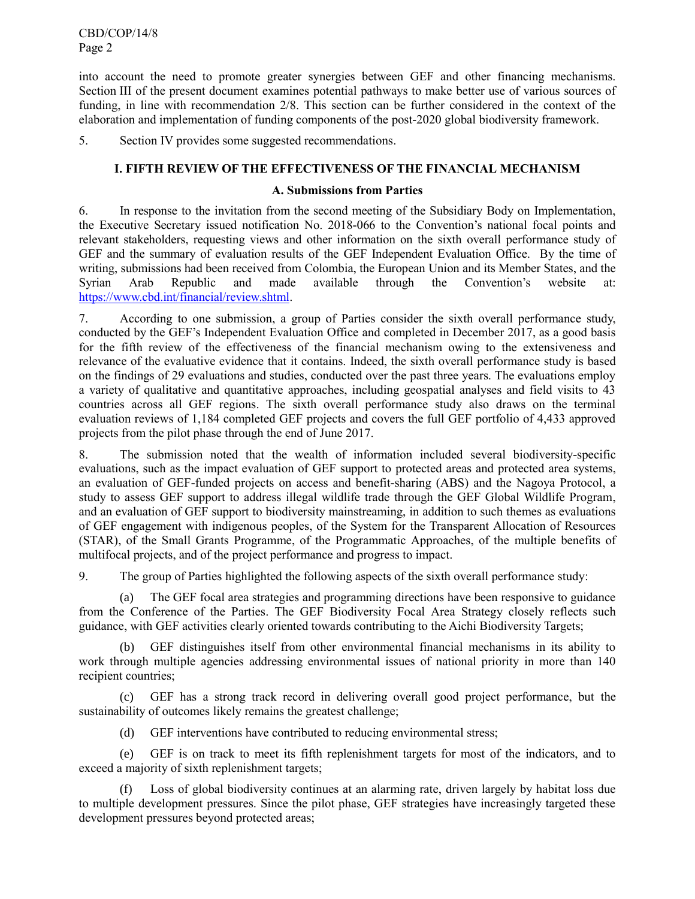CBD/COP/14/8 Page 2

into account the need to promote greater synergies between GEF and other financing mechanisms. Section III of the present document examines potential pathways to make better use of various sources of funding, in line with recommendation 2/8. This section can be further considered in the context of the elaboration and implementation of funding components of the post-2020 global biodiversity framework.

5. Section IV provides some suggested recommendations.

### **I. FIFTH REVIEW OF THE EFFECTIVENESS OF THE FINANCIAL MECHANISM**

### **A. Submissions from Parties**

6. In response to the invitation from the second meeting of the Subsidiary Body on Implementation, the Executive Secretary issued notification No. 2018-066 to the Convention's national focal points and relevant stakeholders, requesting views and other information on the sixth overall performance study of GEF and the summary of evaluation results of the GEF Independent Evaluation Office. By the time of writing, submissions had been received from Colombia, the European Union and its Member States, and the Syrian Arab Republic and made available through the Convention's website at: [https://www.cbd.int/financial/review.shtml.](https://www.cbd.int/financial/review.shtml)

7. According to one submission, a group of Parties consider the sixth overall performance study, conducted by the GEF's Independent Evaluation Office and completed in December 2017, as a good basis for the fifth review of the effectiveness of the financial mechanism owing to the extensiveness and relevance of the evaluative evidence that it contains. Indeed, the sixth overall performance study is based on the findings of 29 evaluations and studies, conducted over the past three years. The evaluations employ a variety of qualitative and quantitative approaches, including geospatial analyses and field visits to 43 countries across all GEF regions. The sixth overall performance study also draws on the terminal evaluation reviews of 1,184 completed GEF projects and covers the full GEF portfolio of 4,433 approved projects from the pilot phase through the end of June 2017.

8. The submission noted that the wealth of information included several biodiversity-specific evaluations, such as the impact evaluation of GEF support to protected areas and protected area systems, an evaluation of GEF-funded projects on access and benefit-sharing (ABS) and the Nagoya Protocol, a study to assess GEF support to address illegal wildlife trade through the GEF Global Wildlife Program, and an evaluation of GEF support to biodiversity mainstreaming, in addition to such themes as evaluations of GEF engagement with indigenous peoples, of the System for the Transparent Allocation of Resources (STAR), of the Small Grants Programme, of the Programmatic Approaches, of the multiple benefits of multifocal projects, and of the project performance and progress to impact.

9. The group of Parties highlighted the following aspects of the sixth overall performance study:

(a) The GEF focal area strategies and programming directions have been responsive to guidance from the Conference of the Parties. The GEF Biodiversity Focal Area Strategy closely reflects such guidance, with GEF activities clearly oriented towards contributing to the Aichi Biodiversity Targets;

(b) GEF distinguishes itself from other environmental financial mechanisms in its ability to work through multiple agencies addressing environmental issues of national priority in more than 140 recipient countries;

(c) GEF has a strong track record in delivering overall good project performance, but the sustainability of outcomes likely remains the greatest challenge;

(d) GEF interventions have contributed to reducing environmental stress;

(e) GEF is on track to meet its fifth replenishment targets for most of the indicators, and to exceed a majority of sixth replenishment targets;

(f) Loss of global biodiversity continues at an alarming rate, driven largely by habitat loss due to multiple development pressures. Since the pilot phase, GEF strategies have increasingly targeted these development pressures beyond protected areas;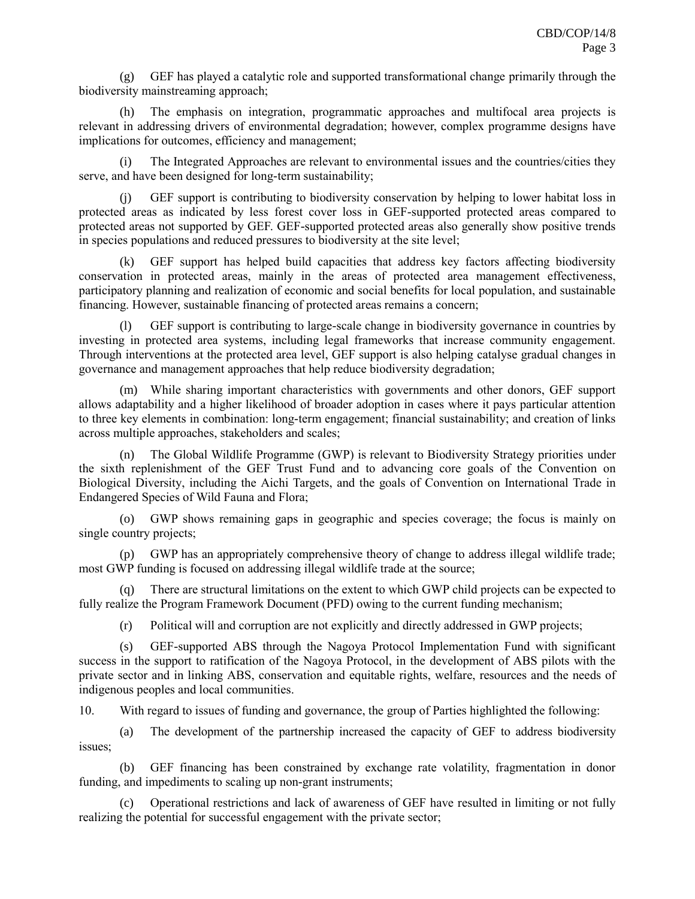(g) GEF has played a catalytic role and supported transformational change primarily through the biodiversity mainstreaming approach;

(h) The emphasis on integration, programmatic approaches and multifocal area projects is relevant in addressing drivers of environmental degradation; however, complex programme designs have implications for outcomes, efficiency and management;

(i) The Integrated Approaches are relevant to environmental issues and the countries/cities they serve, and have been designed for long-term sustainability;

(j) GEF support is contributing to biodiversity conservation by helping to lower habitat loss in protected areas as indicated by less forest cover loss in GEF-supported protected areas compared to protected areas not supported by GEF. GEF-supported protected areas also generally show positive trends in species populations and reduced pressures to biodiversity at the site level;

(k) GEF support has helped build capacities that address key factors affecting biodiversity conservation in protected areas, mainly in the areas of protected area management effectiveness, participatory planning and realization of economic and social benefits for local population, and sustainable financing. However, sustainable financing of protected areas remains a concern;

(l) GEF support is contributing to large-scale change in biodiversity governance in countries by investing in protected area systems, including legal frameworks that increase community engagement. Through interventions at the protected area level, GEF support is also helping catalyse gradual changes in governance and management approaches that help reduce biodiversity degradation;

(m) While sharing important characteristics with governments and other donors, GEF support allows adaptability and a higher likelihood of broader adoption in cases where it pays particular attention to three key elements in combination: long-term engagement; financial sustainability; and creation of links across multiple approaches, stakeholders and scales;

(n) The Global Wildlife Programme (GWP) is relevant to Biodiversity Strategy priorities under the sixth replenishment of the GEF Trust Fund and to advancing core goals of the Convention on Biological Diversity, including the Aichi Targets, and the goals of Convention on International Trade in Endangered Species of Wild Fauna and Flora;

(o) GWP shows remaining gaps in geographic and species coverage; the focus is mainly on single country projects;

(p) GWP has an appropriately comprehensive theory of change to address illegal wildlife trade; most GWP funding is focused on addressing illegal wildlife trade at the source;

There are structural limitations on the extent to which GWP child projects can be expected to fully realize the Program Framework Document (PFD) owing to the current funding mechanism;

(r) Political will and corruption are not explicitly and directly addressed in GWP projects;

(s) GEF-supported ABS through the Nagoya Protocol Implementation Fund with significant success in the support to ratification of the Nagoya Protocol, in the development of ABS pilots with the private sector and in linking ABS, conservation and equitable rights, welfare, resources and the needs of indigenous peoples and local communities.

10. With regard to issues of funding and governance, the group of Parties highlighted the following:

(a) The development of the partnership increased the capacity of GEF to address biodiversity issues;

(b) GEF financing has been constrained by exchange rate volatility, fragmentation in donor funding, and impediments to scaling up non-grant instruments;

(c) Operational restrictions and lack of awareness of GEF have resulted in limiting or not fully realizing the potential for successful engagement with the private sector;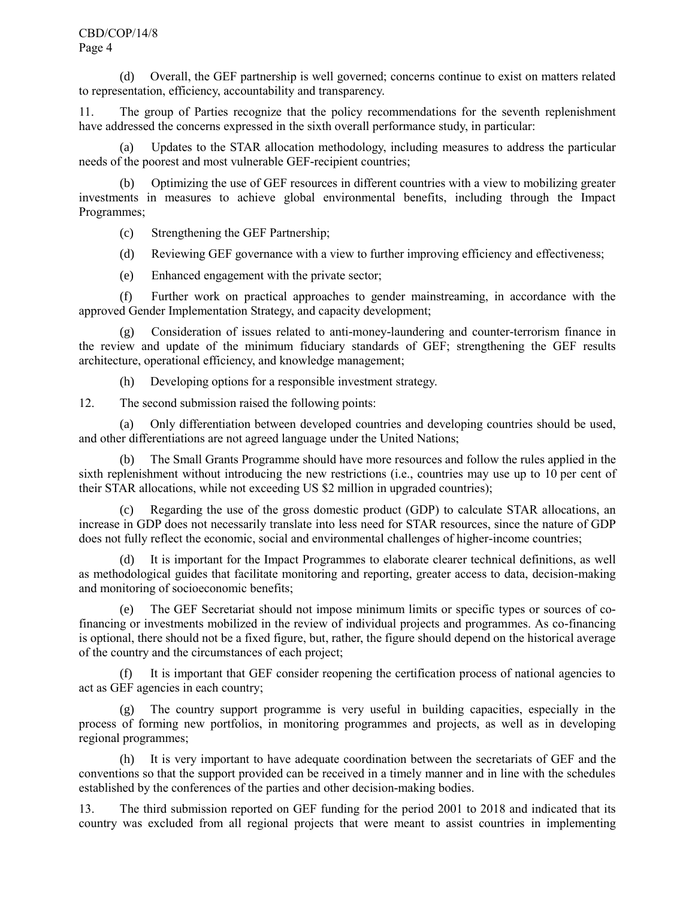(d) Overall, the GEF partnership is well governed; concerns continue to exist on matters related to representation, efficiency, accountability and transparency.

11. The group of Parties recognize that the policy recommendations for the seventh replenishment have addressed the concerns expressed in the sixth overall performance study, in particular:

(a) Updates to the STAR allocation methodology, including measures to address the particular needs of the poorest and most vulnerable GEF-recipient countries;

(b) Optimizing the use of GEF resources in different countries with a view to mobilizing greater investments in measures to achieve global environmental benefits, including through the Impact Programmes;

(c) Strengthening the GEF Partnership;

(d) Reviewing GEF governance with a view to further improving efficiency and effectiveness;

(e) Enhanced engagement with the private sector;

(f) Further work on practical approaches to gender mainstreaming, in accordance with the approved Gender Implementation Strategy, and capacity development;

(g) Consideration of issues related to anti-money-laundering and counter-terrorism finance in the review and update of the minimum fiduciary standards of GEF; strengthening the GEF results architecture, operational efficiency, and knowledge management;

(h) Developing options for a responsible investment strategy.

12. The second submission raised the following points:

(a) Only differentiation between developed countries and developing countries should be used, and other differentiations are not agreed language under the United Nations;

(b) The Small Grants Programme should have more resources and follow the rules applied in the sixth replenishment without introducing the new restrictions (i.e., countries may use up to 10 per cent of their STAR allocations, while not exceeding US \$2 million in upgraded countries);

(c) Regarding the use of the gross domestic product (GDP) to calculate STAR allocations, an increase in GDP does not necessarily translate into less need for STAR resources, since the nature of GDP does not fully reflect the economic, social and environmental challenges of higher-income countries;

(d) It is important for the Impact Programmes to elaborate clearer technical definitions, as well as methodological guides that facilitate monitoring and reporting, greater access to data, decision-making and monitoring of socioeconomic benefits;

(e) The GEF Secretariat should not impose minimum limits or specific types or sources of cofinancing or investments mobilized in the review of individual projects and programmes. As co-financing is optional, there should not be a fixed figure, but, rather, the figure should depend on the historical average of the country and the circumstances of each project;

(f) It is important that GEF consider reopening the certification process of national agencies to act as GEF agencies in each country;

(g) The country support programme is very useful in building capacities, especially in the process of forming new portfolios, in monitoring programmes and projects, as well as in developing regional programmes;

(h) It is very important to have adequate coordination between the secretariats of GEF and the conventions so that the support provided can be received in a timely manner and in line with the schedules established by the conferences of the parties and other decision-making bodies.

13. The third submission reported on GEF funding for the period 2001 to 2018 and indicated that its country was excluded from all regional projects that were meant to assist countries in implementing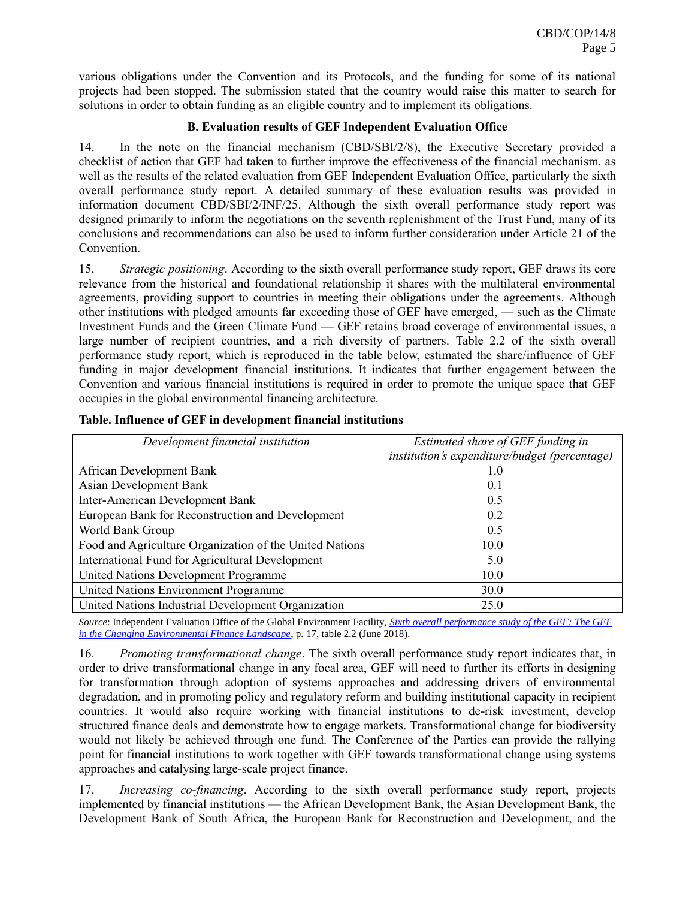various obligations under the Convention and its Protocols, and the funding for some of its national projects had been stopped. The submission stated that the country would raise this matter to search for solutions in order to obtain funding as an eligible country and to implement its obligations.

### **B. Evaluation results of GEF Independent Evaluation Office**

14. In the note on the financial mechanism (CBD/SBI/2/8), the Executive Secretary provided a checklist of action that GEF had taken to further improve the effectiveness of the financial mechanism, as well as the results of the related evaluation from GEF Independent Evaluation Office, particularly the sixth overall performance study report. A detailed summary of these evaluation results was provided in information document CBD/SBI/2/INF/25. Although the sixth overall performance study report was designed primarily to inform the negotiations on the seventh replenishment of the Trust Fund, many of its conclusions and recommendations can also be used to inform further consideration under Article 21 of the **Convention** 

15. *Strategic positioning*. According to the sixth overall performance study report, GEF draws its core relevance from the historical and foundational relationship it shares with the multilateral environmental agreements, providing support to countries in meeting their obligations under the agreements. Although other institutions with pledged amounts far exceeding those of GEF have emerged, — such as the Climate Investment Funds and the Green Climate Fund — GEF retains broad coverage of environmental issues, a large number of recipient countries, and a rich diversity of partners. Table 2.2 of the sixth overall performance study report, which is reproduced in the table below, estimated the share/influence of GEF funding in major development financial institutions. It indicates that further engagement between the Convention and various financial institutions is required in order to promote the unique space that GEF occupies in the global environmental financing architecture.

| Development financial institution                       | Estimated share of GEF funding in             |  |
|---------------------------------------------------------|-----------------------------------------------|--|
|                                                         | institution's expenditure/budget (percentage) |  |
| African Development Bank                                | 1.0                                           |  |
| <b>Asian Development Bank</b>                           | 0.1                                           |  |
| Inter-American Development Bank                         | 0.5                                           |  |
| European Bank for Reconstruction and Development        | 0.2                                           |  |
| World Bank Group                                        | 0.5                                           |  |
| Food and Agriculture Organization of the United Nations | 10.0                                          |  |
| International Fund for Agricultural Development         | 5.0                                           |  |
| United Nations Development Programme                    | 10.0                                          |  |
| <b>United Nations Environment Programme</b>             | 30.0                                          |  |
| United Nations Industrial Development Organization      | 25.0                                          |  |

|  |  |  |  |  | Table. Influence of GEF in development financial institutions |
|--|--|--|--|--|---------------------------------------------------------------|
|--|--|--|--|--|---------------------------------------------------------------|

*Source*: Independent Evaluation Office of the Global Environment Facility, *[Sixth overall performance study](https://www.thegef.org/sites/default/files/council-meeting-documents/GEF.A6.07_OPS6_0.pdf) of the GEF: The GEF [in the Changing Environmental Finance Landscape](https://www.thegef.org/sites/default/files/council-meeting-documents/GEF.A6.07_OPS6_0.pdf)*, p. 17, table 2.2 (June 2018).

16. *Promoting transformational change*. The sixth overall performance study report indicates that, in order to drive transformational change in any focal area, GEF will need to further its efforts in designing for transformation through adoption of systems approaches and addressing drivers of environmental degradation, and in promoting policy and regulatory reform and building institutional capacity in recipient countries. It would also require working with financial institutions to de-risk investment, develop structured finance deals and demonstrate how to engage markets. Transformational change for biodiversity would not likely be achieved through one fund. The Conference of the Parties can provide the rallying point for financial institutions to work together with GEF towards transformational change using systems approaches and catalysing large-scale project finance.

17. *Increasing co-financing*. According to the sixth overall performance study report, projects implemented by financial institutions — the African Development Bank, the Asian Development Bank, the Development Bank of South Africa, the European Bank for Reconstruction and Development, and the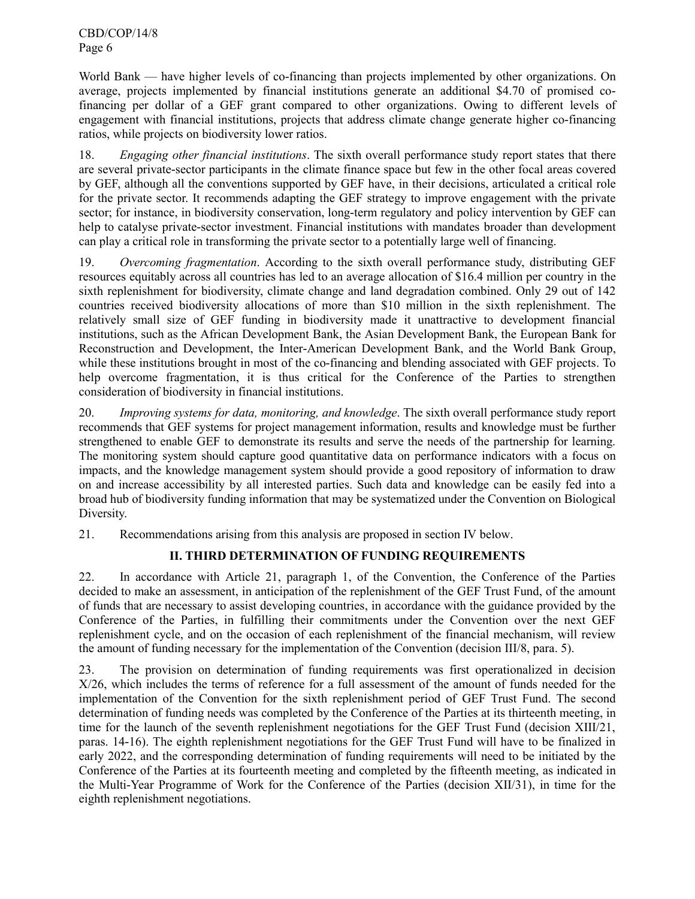CBD/COP/14/8 Page 6

World Bank — have higher levels of co-financing than projects implemented by other organizations. On average, projects implemented by financial institutions generate an additional \$4.70 of promised cofinancing per dollar of a GEF grant compared to other organizations. Owing to different levels of engagement with financial institutions, projects that address climate change generate higher co-financing ratios, while projects on biodiversity lower ratios.

18. *Engaging other financial institutions*. The sixth overall performance study report states that there are several private-sector participants in the climate finance space but few in the other focal areas covered by GEF, although all the conventions supported by GEF have, in their decisions, articulated a critical role for the private sector. It recommends adapting the GEF strategy to improve engagement with the private sector; for instance, in biodiversity conservation, long-term regulatory and policy intervention by GEF can help to catalyse private-sector investment. Financial institutions with mandates broader than development can play a critical role in transforming the private sector to a potentially large well of financing.

19. *Overcoming fragmentation*. According to the sixth overall performance study, distributing GEF resources equitably across all countries has led to an average allocation of \$16.4 million per country in the sixth replenishment for biodiversity, climate change and land degradation combined. Only 29 out of 142 countries received biodiversity allocations of more than \$10 million in the sixth replenishment. The relatively small size of GEF funding in biodiversity made it unattractive to development financial institutions, such as the African Development Bank, the Asian Development Bank, the European Bank for Reconstruction and Development, the Inter-American Development Bank, and the World Bank Group, while these institutions brought in most of the co-financing and blending associated with GEF projects. To help overcome fragmentation, it is thus critical for the Conference of the Parties to strengthen consideration of biodiversity in financial institutions.

20. *Improving systems for data, monitoring, and knowledge*. The sixth overall performance study report recommends that GEF systems for project management information, results and knowledge must be further strengthened to enable GEF to demonstrate its results and serve the needs of the partnership for learning. The monitoring system should capture good quantitative data on performance indicators with a focus on impacts, and the knowledge management system should provide a good repository of information to draw on and increase accessibility by all interested parties. Such data and knowledge can be easily fed into a broad hub of biodiversity funding information that may be systematized under the Convention on Biological Diversity.

21. Recommendations arising from this analysis are proposed in section IV below.

# **II. THIRD DETERMINATION OF FUNDING REQUIREMENTS**

22. In accordance with Article 21, paragraph 1, of the Convention, the Conference of the Parties decided to make an assessment, in anticipation of the replenishment of the GEF Trust Fund, of the amount of funds that are necessary to assist developing countries, in accordance with the guidance provided by the Conference of the Parties, in fulfilling their commitments under the Convention over the next GEF replenishment cycle, and on the occasion of each replenishment of the financial mechanism, will review the amount of funding necessary for the implementation of the Convention (decision III/8, para. 5).

23. The provision on determination of funding requirements was first operationalized in decision X/26, which includes the terms of reference for a full assessment of the amount of funds needed for the implementation of the Convention for the sixth replenishment period of GEF Trust Fund. The second determination of funding needs was completed by the Conference of the Parties at its thirteenth meeting, in time for the launch of the seventh replenishment negotiations for the GEF Trust Fund (decision XIII/21, paras. 14-16). The eighth replenishment negotiations for the GEF Trust Fund will have to be finalized in early 2022, and the corresponding determination of funding requirements will need to be initiated by the Conference of the Parties at its fourteenth meeting and completed by the fifteenth meeting, as indicated in the Multi-Year Programme of Work for the Conference of the Parties (decision XII/31), in time for the eighth replenishment negotiations.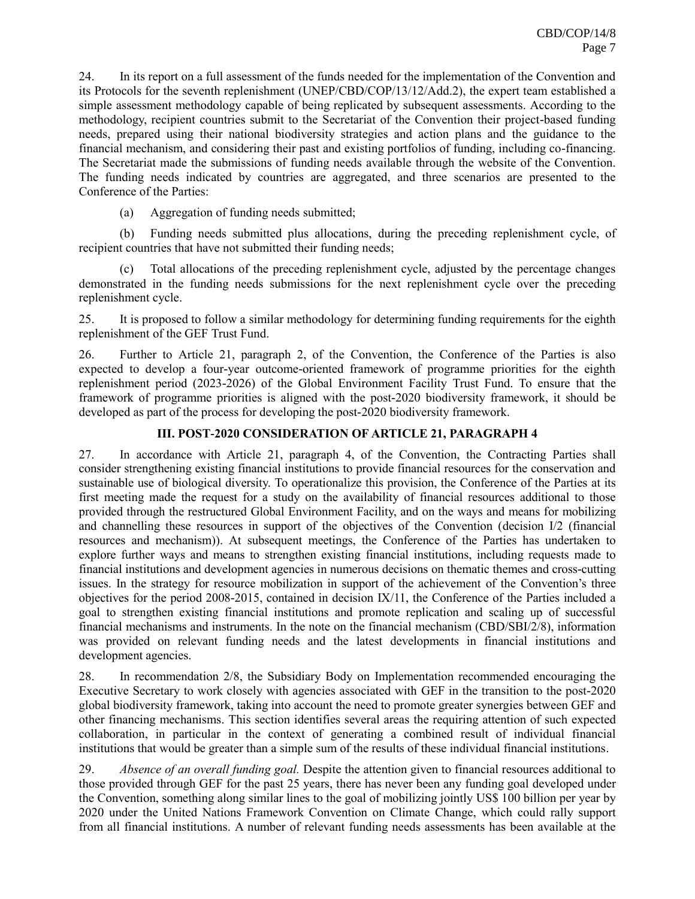24. In its report on a full assessment of the funds needed for the implementation of the Convention and its Protocols for the seventh replenishment (UNEP/CBD/COP/13/12/Add.2), the expert team established a simple assessment methodology capable of being replicated by subsequent assessments. According to the methodology, recipient countries submit to the Secretariat of the Convention their project-based funding needs, prepared using their national biodiversity strategies and action plans and the guidance to the financial mechanism, and considering their past and existing portfolios of funding, including co-financing. The Secretariat made the submissions of funding needs available through the website of the Convention. The funding needs indicated by countries are aggregated, and three scenarios are presented to the Conference of the Parties:

(a) Aggregation of funding needs submitted;

(b) Funding needs submitted plus allocations, during the preceding replenishment cycle, of recipient countries that have not submitted their funding needs;

(c) Total allocations of the preceding replenishment cycle, adjusted by the percentage changes demonstrated in the funding needs submissions for the next replenishment cycle over the preceding replenishment cycle.

25. It is proposed to follow a similar methodology for determining funding requirements for the eighth replenishment of the GEF Trust Fund.

26. Further to Article 21, paragraph 2, of the Convention, the Conference of the Parties is also expected to develop a four-year outcome-oriented framework of programme priorities for the eighth replenishment period (2023-2026) of the Global Environment Facility Trust Fund. To ensure that the framework of programme priorities is aligned with the post-2020 biodiversity framework, it should be developed as part of the process for developing the post-2020 biodiversity framework.

# **III. POST-2020 CONSIDERATION OF ARTICLE 21, PARAGRAPH 4**

27. In accordance with Article 21, paragraph 4, of the Convention, the Contracting Parties shall consider strengthening existing financial institutions to provide financial resources for the conservation and sustainable use of biological diversity. To operationalize this provision, the Conference of the Parties at its first meeting made the request for a study on the availability of financial resources additional to those provided through the restructured Global Environment Facility, and on the ways and means for mobilizing and channelling these resources in support of the objectives of the Convention (decision I/2 (financial resources and mechanism)). At subsequent meetings, the Conference of the Parties has undertaken to explore further ways and means to strengthen existing financial institutions, including requests made to financial institutions and development agencies in numerous decisions on thematic themes and cross-cutting issues. In the strategy for resource mobilization in support of the achievement of the Convention's three objectives for the period 2008-2015, contained in decision IX/11, the Conference of the Parties included a goal to strengthen existing financial institutions and promote replication and scaling up of successful financial mechanisms and instruments. In the note on the financial mechanism (CBD/SBI/2/8), information was provided on relevant funding needs and the latest developments in financial institutions and development agencies.

28. In recommendation 2/8, the Subsidiary Body on Implementation recommended encouraging the Executive Secretary to work closely with agencies associated with GEF in the transition to the post-2020 global biodiversity framework, taking into account the need to promote greater synergies between GEF and other financing mechanisms. This section identifies several areas the requiring attention of such expected collaboration, in particular in the context of generating a combined result of individual financial institutions that would be greater than a simple sum of the results of these individual financial institutions.

29. *Absence of an overall funding goal.* Despite the attention given to financial resources additional to those provided through GEF for the past 25 years, there has never been any funding goal developed under the Convention, something along similar lines to the goal of mobilizing jointly US\$ 100 billion per year by 2020 under the United Nations Framework Convention on Climate Change, which could rally support from all financial institutions. A number of relevant funding needs assessments has been available at the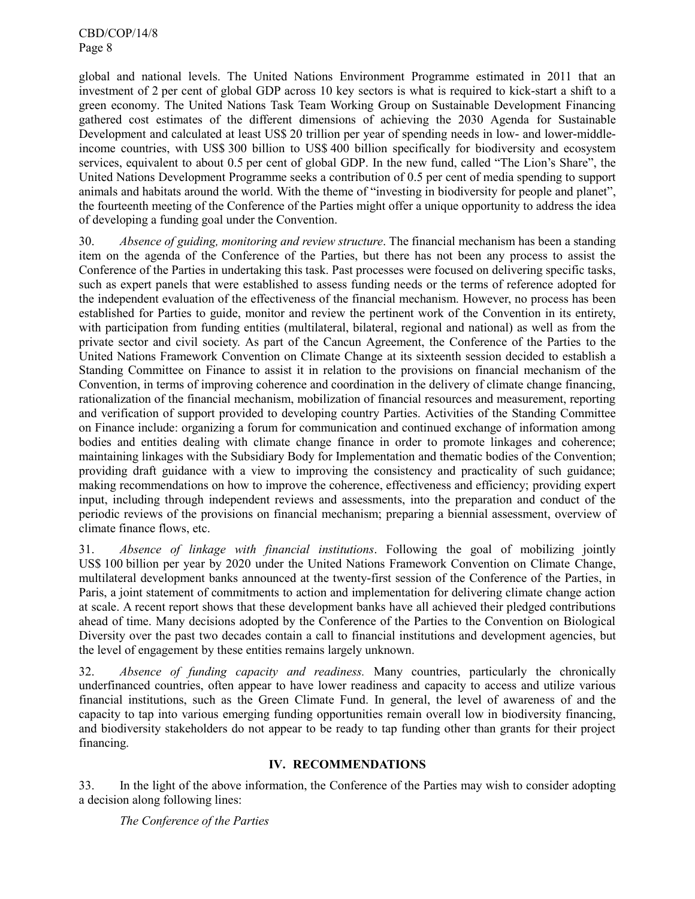CBD/COP/14/8 Page 8

global and national levels. The United Nations Environment Programme estimated in 2011 that an investment of 2 per cent of global GDP across 10 key sectors is what is required to kick-start a shift to a green economy. The United Nations Task Team Working Group on Sustainable Development Financing gathered cost estimates of the different dimensions of achieving the 2030 Agenda for Sustainable Development and calculated at least US\$ 20 trillion per year of spending needs in low- and lower-middleincome countries, with US\$ 300 billion to US\$ 400 billion specifically for biodiversity and ecosystem services, equivalent to about 0.5 per cent of global GDP. In the new fund, called "The Lion's Share", the United Nations Development Programme seeks a contribution of 0.5 per cent of media spending to support animals and habitats around the world. With the theme of "investing in biodiversity for people and planet", the fourteenth meeting of the Conference of the Parties might offer a unique opportunity to address the idea of developing a funding goal under the Convention.

30. *Absence of guiding, monitoring and review structure*. The financial mechanism has been a standing item on the agenda of the Conference of the Parties, but there has not been any process to assist the Conference of the Parties in undertaking this task. Past processes were focused on delivering specific tasks, such as expert panels that were established to assess funding needs or the terms of reference adopted for the independent evaluation of the effectiveness of the financial mechanism. However, no process has been established for Parties to guide, monitor and review the pertinent work of the Convention in its entirety, with participation from funding entities (multilateral, bilateral, regional and national) as well as from the private sector and civil society. As part of the Cancun Agreement, the Conference of the Parties to the United Nations Framework Convention on Climate Change at its sixteenth session decided to establish a Standing Committee on Finance to assist it in relation to the provisions on financial mechanism of the Convention, in terms of improving coherence and coordination in the delivery of climate change financing, rationalization of the financial mechanism, mobilization of financial resources and measurement, reporting and verification of support provided to developing country Parties. Activities of the Standing Committee on Finance include: organizing a forum for communication and continued exchange of information among bodies and entities dealing with climate change finance in order to promote linkages and coherence; maintaining linkages with the Subsidiary Body for Implementation and thematic bodies of the Convention; providing draft guidance with a view to improving the consistency and practicality of such guidance; making recommendations on how to improve the coherence, effectiveness and efficiency; providing expert input, including through independent reviews and assessments, into the preparation and conduct of the periodic reviews of the provisions on financial mechanism; preparing a biennial assessment, overview of climate finance flows, etc.

31. *Absence of linkage with financial institutions*. Following the goal of mobilizing jointly US\$ 100 billion per year by 2020 under the United Nations Framework Convention on Climate Change, multilateral development banks announced at the twenty-first session of the Conference of the Parties, in Paris, a joint statement of commitments to action and implementation for delivering climate change action at scale. A recent report shows that these development banks have all achieved their pledged contributions ahead of time. Many decisions adopted by the Conference of the Parties to the Convention on Biological Diversity over the past two decades contain a call to financial institutions and development agencies, but the level of engagement by these entities remains largely unknown.

32. *Absence of funding capacity and readiness.* Many countries, particularly the chronically underfinanced countries, often appear to have lower readiness and capacity to access and utilize various financial institutions, such as the Green Climate Fund. In general, the level of awareness of and the capacity to tap into various emerging funding opportunities remain overall low in biodiversity financing, and biodiversity stakeholders do not appear to be ready to tap funding other than grants for their project financing.

# **IV. RECOMMENDATIONS**

33. In the light of the above information, the Conference of the Parties may wish to consider adopting a decision along following lines:

*The Conference of the Parties*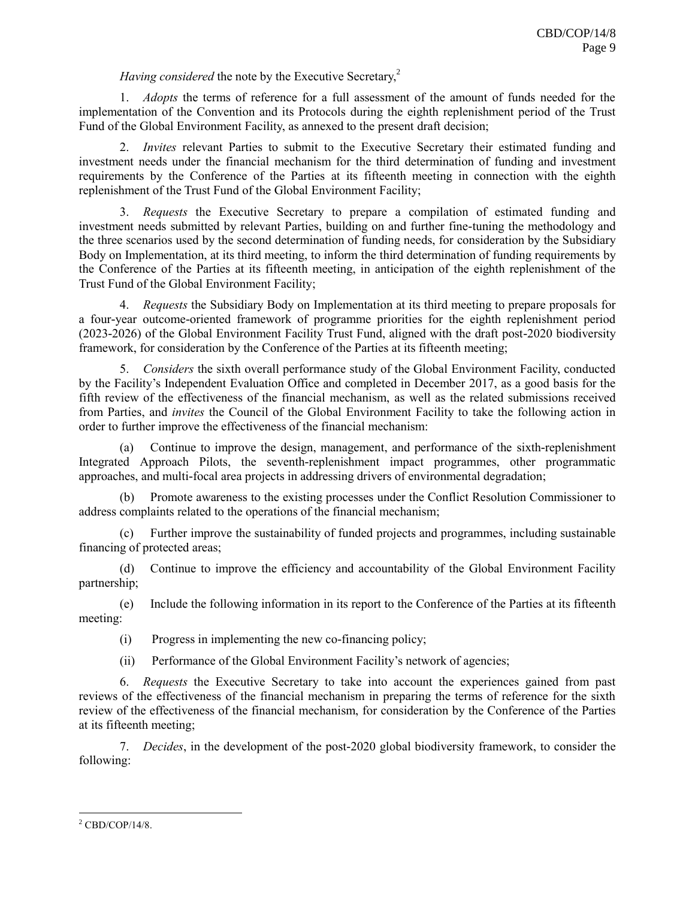# *Having considered* the note by the Executive Secretary,<sup>2</sup>

1. *Adopts* the terms of reference for a full assessment of the amount of funds needed for the implementation of the Convention and its Protocols during the eighth replenishment period of the Trust Fund of the Global Environment Facility, as annexed to the present draft decision;

2. *Invites* relevant Parties to submit to the Executive Secretary their estimated funding and investment needs under the financial mechanism for the third determination of funding and investment requirements by the Conference of the Parties at its fifteenth meeting in connection with the eighth replenishment of the Trust Fund of the Global Environment Facility;

3. *Requests* the Executive Secretary to prepare a compilation of estimated funding and investment needs submitted by relevant Parties, building on and further fine-tuning the methodology and the three scenarios used by the second determination of funding needs, for consideration by the Subsidiary Body on Implementation, at its third meeting, to inform the third determination of funding requirements by the Conference of the Parties at its fifteenth meeting, in anticipation of the eighth replenishment of the Trust Fund of the Global Environment Facility;

4. *Requests* the Subsidiary Body on Implementation at its third meeting to prepare proposals for a four-year outcome-oriented framework of programme priorities for the eighth replenishment period (2023-2026) of the Global Environment Facility Trust Fund, aligned with the draft post-2020 biodiversity framework, for consideration by the Conference of the Parties at its fifteenth meeting;

5. *Considers* the sixth overall performance study of the Global Environment Facility, conducted by the Facility's Independent Evaluation Office and completed in December 2017, as a good basis for the fifth review of the effectiveness of the financial mechanism, as well as the related submissions received from Parties, and *invites* the Council of the Global Environment Facility to take the following action in order to further improve the effectiveness of the financial mechanism:

(a) Continue to improve the design, management, and performance of the sixth-replenishment Integrated Approach Pilots, the seventh-replenishment impact programmes, other programmatic approaches, and multi-focal area projects in addressing drivers of environmental degradation;

Promote awareness to the existing processes under the Conflict Resolution Commissioner to address complaints related to the operations of the financial mechanism;

(c) Further improve the sustainability of funded projects and programmes, including sustainable financing of protected areas;

(d) Continue to improve the efficiency and accountability of the Global Environment Facility partnership;

(e) Include the following information in its report to the Conference of the Parties at its fifteenth meeting:

(i) Progress in implementing the new co-financing policy;

(ii) Performance of the Global Environment Facility's network of agencies;

6. *Requests* the Executive Secretary to take into account the experiences gained from past reviews of the effectiveness of the financial mechanism in preparing the terms of reference for the sixth review of the effectiveness of the financial mechanism, for consideration by the Conference of the Parties at its fifteenth meeting;

7. *Decides*, in the development of the post-2020 global biodiversity framework, to consider the following:

 $\overline{a}$ 

 $2$  CBD/COP/14/8.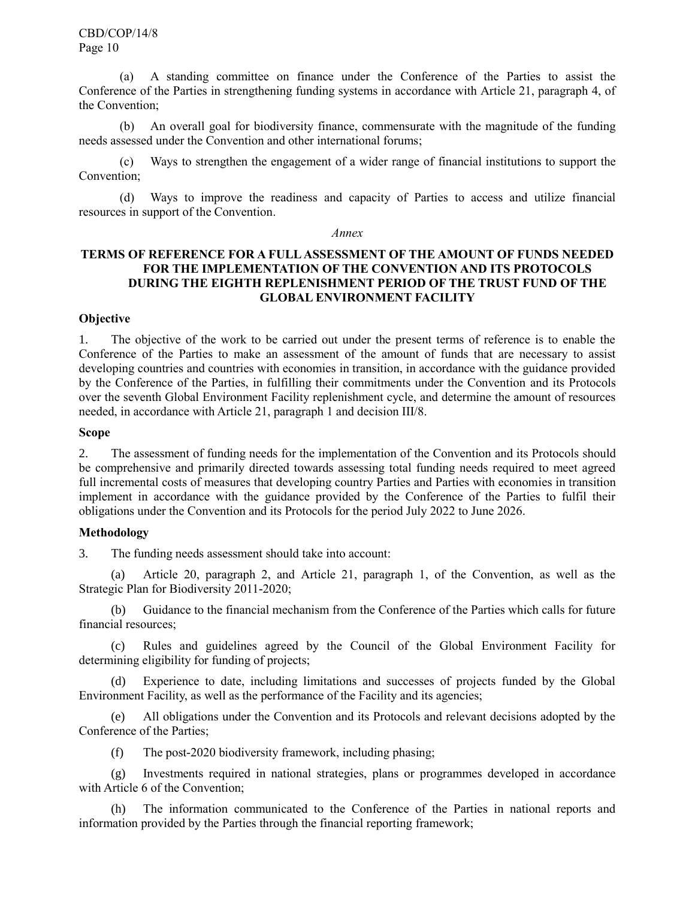(a) A standing committee on finance under the Conference of the Parties to assist the Conference of the Parties in strengthening funding systems in accordance with Article 21, paragraph 4, of the Convention;

(b) An overall goal for biodiversity finance, commensurate with the magnitude of the funding needs assessed under the Convention and other international forums;

(c) Ways to strengthen the engagement of a wider range of financial institutions to support the Convention;

(d) Ways to improve the readiness and capacity of Parties to access and utilize financial resources in support of the Convention.

#### *Annex*

### **TERMS OF REFERENCE FOR A FULL ASSESSMENT OF THE AMOUNT OF FUNDS NEEDED FOR THE IMPLEMENTATION OF THE CONVENTION AND ITS PROTOCOLS DURING THE EIGHTH REPLENISHMENT PERIOD OF THE TRUST FUND OF THE GLOBAL ENVIRONMENT FACILITY**

### **Objective**

1. The objective of the work to be carried out under the present terms of reference is to enable the Conference of the Parties to make an assessment of the amount of funds that are necessary to assist developing countries and countries with economies in transition, in accordance with the guidance provided by the Conference of the Parties, in fulfilling their commitments under the Convention and its Protocols over the seventh Global Environment Facility replenishment cycle, and determine the amount of resources needed, in accordance with Article 21, paragraph 1 an[d decision III/8.](http://www.cbd.int/decisions/?m=cop-03&n=08)

#### **Scope**

2. The assessment of funding needs for the implementation of the Convention and its Protocols should be comprehensive and primarily directed towards assessing total funding needs required to meet agreed full incremental costs of measures that developing country Parties and Parties with economies in transition implement in accordance with the guidance provided by the Conference of the Parties to fulfil their obligations under the Convention and its Protocols for the period July 2022 to June 2026.

### **Methodology**

3. The funding needs assessment should take into account:

(a) Article 20, paragraph 2, and Article 21, paragraph 1, of the Convention, as well as the Strategic Plan for Biodiversity 2011-2020;

(b) Guidance to the financial mechanism from the Conference of the Parties which calls for future financial resources;

(c) Rules and guidelines agreed by the Council of the Global Environment Facility for determining eligibility for funding of projects;

(d) Experience to date, including limitations and successes of projects funded by the Global Environment Facility, as well as the performance of the Facility and its agencies;

(e) All obligations under the Convention and its Protocols and relevant decisions adopted by the Conference of the Parties;

(f) The post-2020 biodiversity framework, including phasing;

(g) Investments required in national strategies, plans or programmes developed in accordance with Article 6 of the Convention;

The information communicated to the Conference of the Parties in national reports and information provided by the Parties through the financial reporting framework;